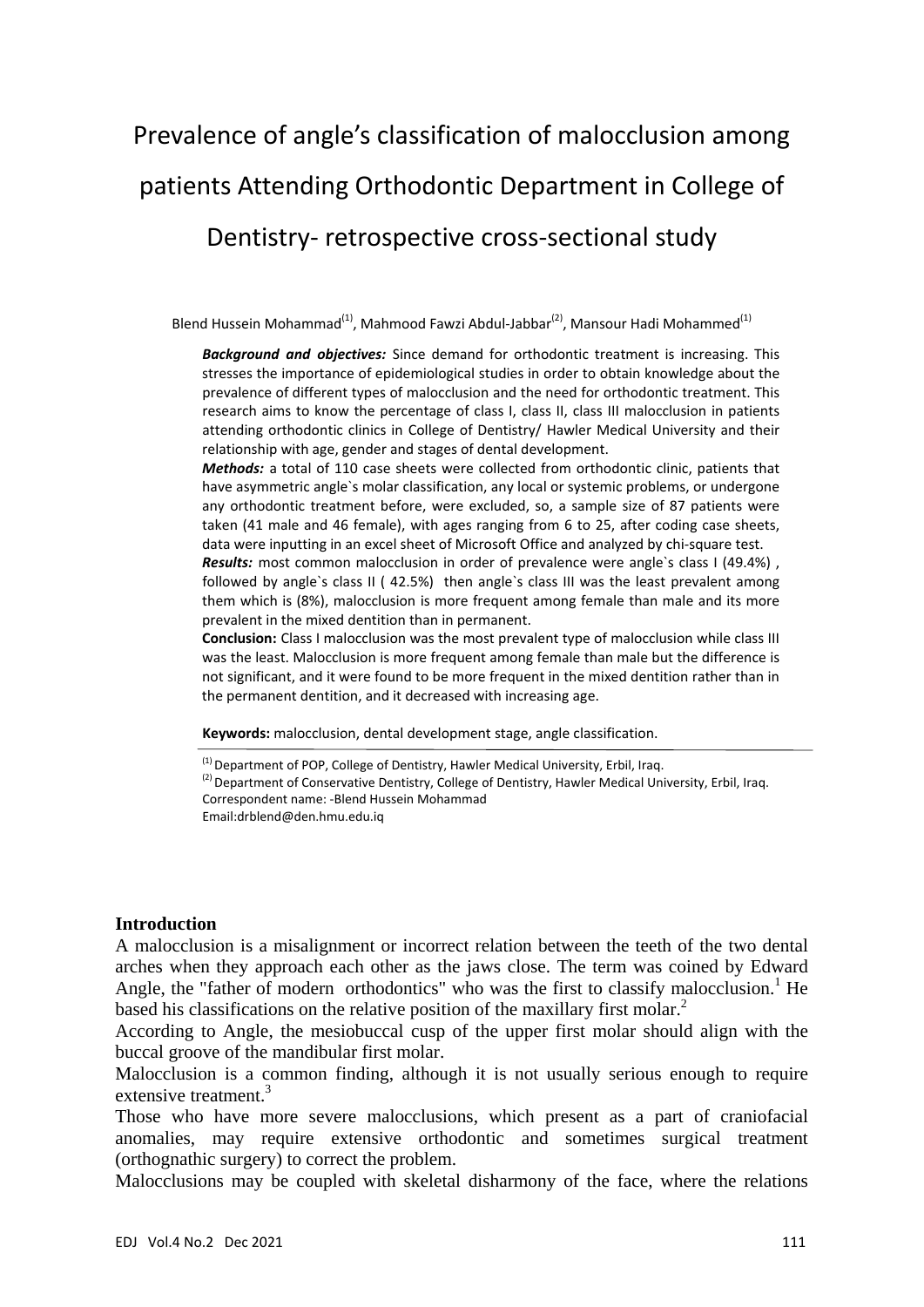# Prevalence of angle's classification of malocclusion among patients Attending Orthodontic Department in College of Dentistry‐ retrospective cross‐sectional study

Blend Hussein Mohammad<sup>(1)</sup>, Mahmood Fawzi Abdul-Jabbar<sup>(2)</sup>, Mansour Hadi Mohammed<sup>(1)</sup>

*Background and objectives:* Since demand for orthodontic treatment is increasing. This stresses the importance of epidemiological studies in order to obtain knowledge about the prevalence of different types of malocclusion and the need for orthodontic treatment. This research aims to know the percentage of class I, class II, class III malocclusion in patients attending orthodontic clinics in College of Dentistry/ Hawler Medical University and their relationship with age, gender and stages of dental development.

*Methods:* a total of 110 case sheets were collected from orthodontic clinic, patients that have asymmetric angle`s molar classification, any local or systemic problems, or undergone any orthodontic treatment before, were excluded, so, a sample size of 87 patients were taken (41 male and 46 female), with ages ranging from 6 to 25, after coding case sheets, data were inputting in an excel sheet of Microsoft Office and analyzed by chi‐square test. *Results:* most common malocclusion in order of prevalence were angle`s class I (49.4%) , followed by angle`s class II ( 42.5%) then angle`s class III was the least prevalent among them which is (8%), malocclusion is more frequent among female than male and its more prevalent in the mixed dentition than in permanent.

**Conclusion:** Class I malocclusion was the most prevalent type of malocclusion while class III was the least. Malocclusion is more frequent among female than male but the difference is not significant, and it were found to be more frequent in the mixed dentition rather than in the permanent dentition, and it decreased with increasing age.

**Keywords:** malocclusion, dental development stage, angle classification.

#### **Introduction**

A malocclusion is a misalignment or incorrect relation between the teeth of the two dental arches when they approach each other as the jaws close. The term was coined by Edward Angle, the "father of modern orthodontics" who was the first to classify malocclusion.<sup>1</sup> He based his classifications on the relative position of the maxillary first molar.<sup>2</sup>

According to Angle, the mesiobuccal cusp of the upper first molar should align with the buccal groove of the mandibular first molar.

Malocclusion is a common finding, although it is not usually serious enough to require extensive treatment.<sup>3</sup>

Those who have more severe malocclusions, which present as a part of craniofacial anomalies, may require extensive orthodontic and sometimes surgical treatment (orthognathic surgery) to correct the problem.

Malocclusions may be coupled with skeletal disharmony of the face, where the relations

 $<sup>(1)</sup>$  Department of POP, College of Dentistry, Hawler Medical University, Erbil, Iraq.</sup>

 $^{(2)}$  Department of Conservative Dentistry, College of Dentistry, Hawler Medical University, Erbil, Iraq. Correspondent name: ‐Blend Hussein Mohammad

Email:drblend@den.hmu.edu.iq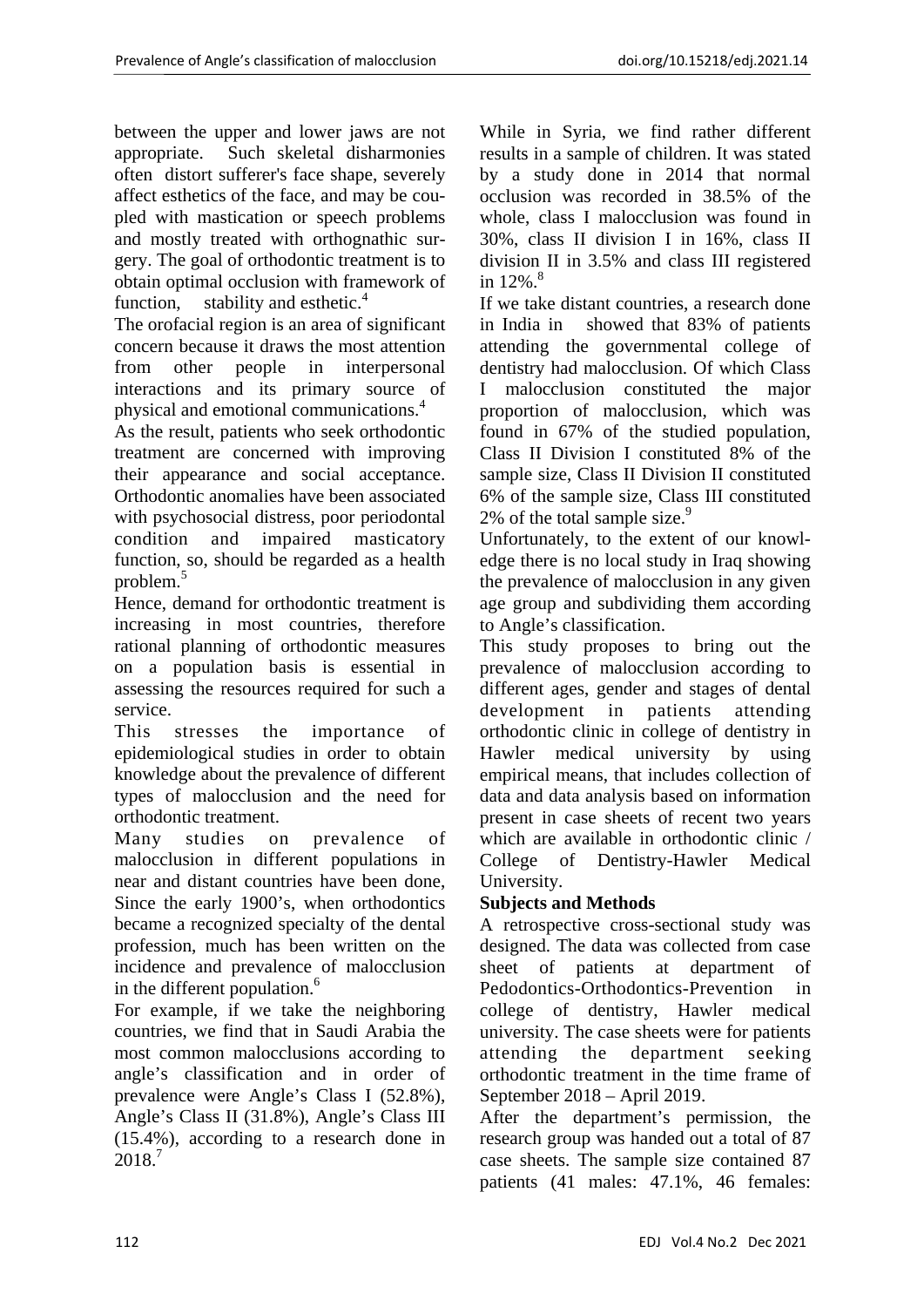between the upper and lower jaws are not appropriate. Such skeletal disharmonies often distort sufferer's face shape, severely affect esthetics of the face, and may be coupled with mastication or speech problems and mostly treated with orthognathic surgery. The goal of orthodontic treatment is to obtain optimal occlusion with framework of function, stability and esthetic. $4$ 

The orofacial region is an area of significant concern because it draws the most attention from other people in interpersonal interactions and its primary source of physical and emotional communications.<sup>4</sup>

As the result, patients who seek orthodontic treatment are concerned with improving their appearance and social acceptance. Orthodontic anomalies have been associated with psychosocial distress, poor periodontal condition and impaired masticatory function, so, should be regarded as a health problem.<sup>5</sup>

Hence, demand for orthodontic treatment is increasing in most countries, therefore rational planning of orthodontic measures on a population basis is essential in assessing the resources required for such a service.

This stresses the importance of epidemiological studies in order to obtain knowledge about the prevalence of different types of malocclusion and the need for orthodontic treatment.

Many studies on prevalence of malocclusion in different populations in near and distant countries have been done, Since the early 1900's, when orthodontics became a recognized specialty of the dental profession, much has been written on the incidence and prevalence of malocclusion in the different population.<sup>6</sup>

For example, if we take the neighboring countries, we find that in Saudi Arabia the most common malocclusions according to angle's classification and in order of prevalence were Angle's Class I (52.8%), Angle's Class II (31.8%), Angle's Class III (15.4%), according to a research done in 2018.<sup>7</sup>

While in Syria, we find rather different results in a sample of children. It was stated by a study done in 2014 that normal occlusion was recorded in 38.5% of the whole, class I malocclusion was found in 30%, class II division I in 16%, class II division II in 3.5% and class III registered in  $12\%$ .<sup>8</sup>

If we take distant countries, a research done in India in showed that 83% of patients attending the governmental college of dentistry had malocclusion. Of which Class I malocclusion constituted the major proportion of malocclusion, which was found in 67% of the studied population, Class II Division I constituted 8% of the sample size, Class II Division II constituted 6% of the sample size, Class III constituted 2% of the total sample size. $9$ 

Unfortunately, to the extent of our knowledge there is no local study in Iraq showing the prevalence of malocclusion in any given age group and subdividing them according to Angle's classification.

This study proposes to bring out the prevalence of malocclusion according to different ages, gender and stages of dental development in patients attending orthodontic clinic in college of dentistry in Hawler medical university by using empirical means, that includes collection of data and data analysis based on information present in case sheets of recent two years which are available in orthodontic clinic / College of Dentistry-Hawler Medical University.

# **Subjects and Methods**

A retrospective cross-sectional study was designed. The data was collected from case sheet of patients at department of Pedodontics-Orthodontics-Prevention in college of dentistry, Hawler medical university. The case sheets were for patients attending the department seeking orthodontic treatment in the time frame of September 2018 – April 2019.

After the department's permission, the research group was handed out a total of 87 case sheets. The sample size contained 87 patients (41 males: 47.1%, 46 females: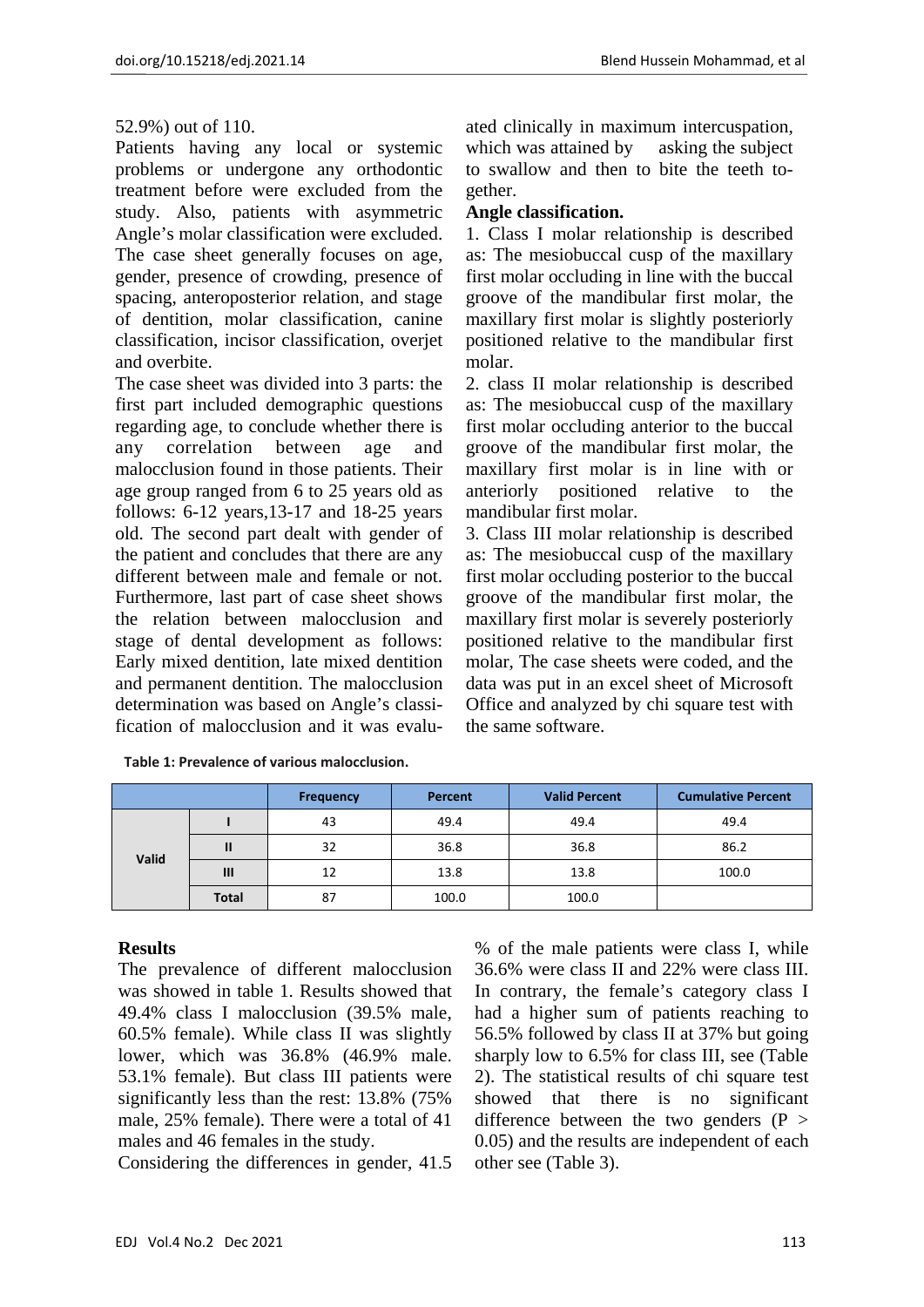## 52.9%) out of 110.

Patients having any local or systemic problems or undergone any orthodontic treatment before were excluded from the study. Also, patients with asymmetric Angle's molar classification were excluded. The case sheet generally focuses on age, gender, presence of crowding, presence of spacing, anteroposterior relation, and stage of dentition, molar classification, canine classification, incisor classification, overjet and overbite.

The case sheet was divided into 3 parts: the first part included demographic questions regarding age, to conclude whether there is any correlation between age and malocclusion found in those patients. Their age group ranged from 6 to 25 years old as follows: 6-12 years,13-17 and 18-25 years old. The second part dealt with gender of the patient and concludes that there are any different between male and female or not. Furthermore, last part of case sheet shows the relation between malocclusion and stage of dental development as follows: Early mixed dentition, late mixed dentition and permanent dentition. The malocclusion determination was based on Angle's classification of malocclusion and it was evaluated clinically in maximum intercuspation, which was attained by asking the subject to swallow and then to bite the teeth together.

## **Angle classification.**

1. Class I molar relationship is described as: The mesiobuccal cusp of the maxillary first molar occluding in line with the buccal groove of the mandibular first molar, the maxillary first molar is slightly posteriorly positioned relative to the mandibular first molar.

2. class II molar relationship is described as: The mesiobuccal cusp of the maxillary first molar occluding anterior to the buccal groove of the mandibular first molar, the maxillary first molar is in line with or anteriorly positioned relative to the mandibular first molar.

3. Class III molar relationship is described as: The mesiobuccal cusp of the maxillary first molar occluding posterior to the buccal groove of the mandibular first molar, the maxillary first molar is severely posteriorly positioned relative to the mandibular first molar, The case sheets were coded, and the data was put in an excel sheet of Microsoft Office and analyzed by chi square test with the same software.

|       |                | <b>Frequency</b> | Percent | <b>Valid Percent</b> | <b>Cumulative Percent</b> |
|-------|----------------|------------------|---------|----------------------|---------------------------|
| Valid |                | 43               | 49.4    | 49.4                 | 49.4                      |
|       | $\mathbf{I}$   | 32               | 36.8    | 36.8                 | 86.2                      |
|       | $\mathbf{III}$ | 12               | 13.8    | 13.8                 | 100.0                     |
|       | <b>Total</b>   | 87               | 100.0   | 100.0                |                           |

**Table 1: Prevalence of various malocclusion.**

## **Results**

The prevalence of different malocclusion was showed in table 1. Results showed that 49.4% class I malocclusion (39.5% male, 60.5% female). While class II was slightly lower, which was 36.8% (46.9% male. 53.1% female). But class III patients were significantly less than the rest: 13.8% (75% male, 25% female). There were a total of 41 males and 46 females in the study.

Considering the differences in gender, 41.5

% of the male patients were class I, while 36.6% were class II and 22% were class III. In contrary, the female's category class I had a higher sum of patients reaching to 56.5% followed by class II at 37% but going sharply low to 6.5% for class III, see (Table 2). The statistical results of chi square test showed that there is no significant difference between the two genders  $(P >$ 0.05) and the results are independent of each other see (Table 3).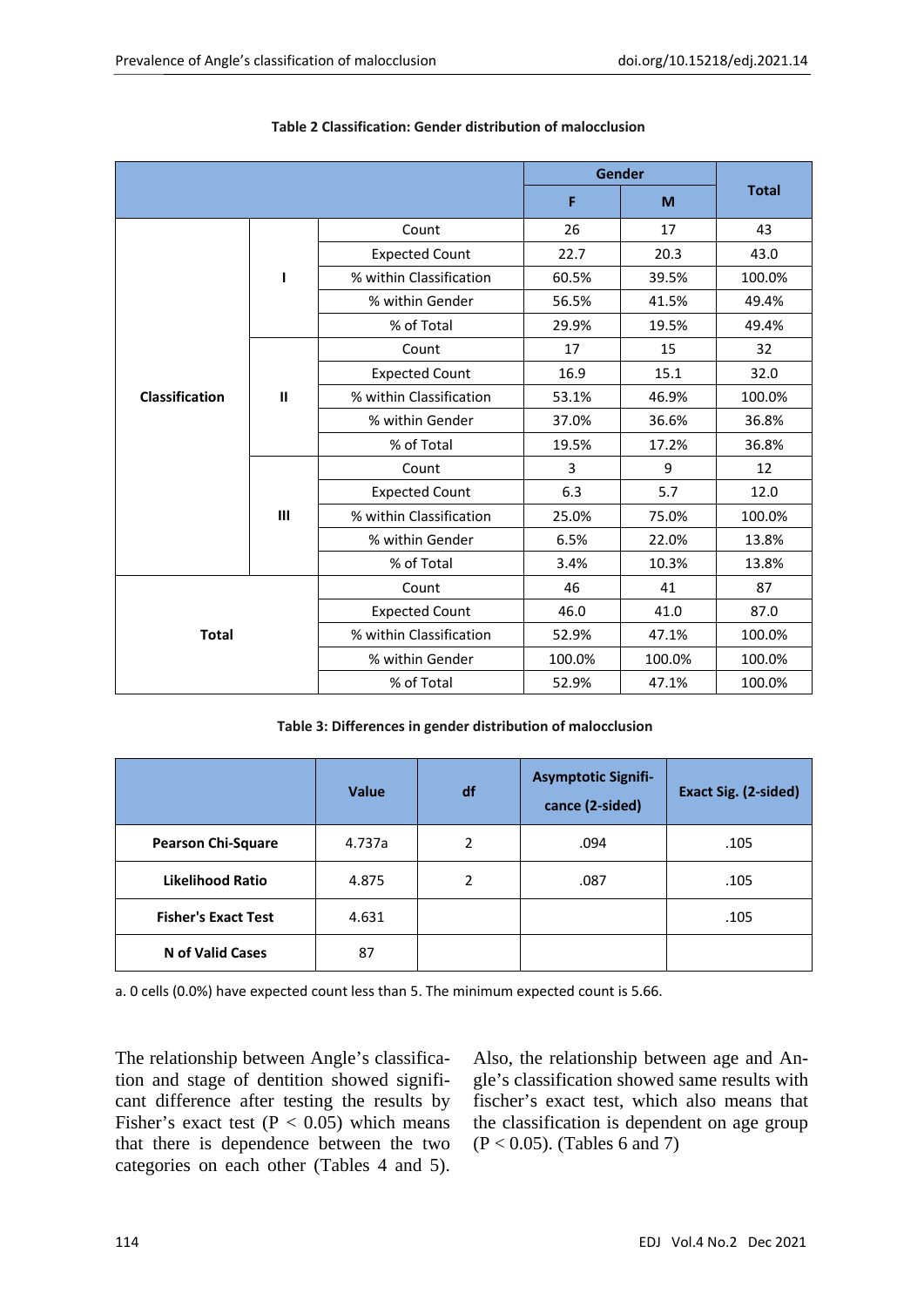|                |                | Gender                  | <b>Total</b> |        |        |
|----------------|----------------|-------------------------|--------------|--------|--------|
|                |                |                         |              | F<br>M |        |
|                |                | Count                   | 26           | 17     | 43     |
|                |                | <b>Expected Count</b>   | 22.7         | 20.3   | 43.0   |
|                | ı              | % within Classification | 60.5%        | 39.5%  | 100.0% |
|                |                | % within Gender         | 56.5%        | 41.5%  | 49.4%  |
|                |                | % of Total              | 29.9%        | 19.5%  | 49.4%  |
|                |                | Count                   | 17           | 15     | 32     |
|                |                | <b>Expected Count</b>   | 16.9         | 15.1   | 32.0   |
| Classification | $\mathbf{I}$   | % within Classification | 53.1%        | 46.9%  | 100.0% |
|                |                | % within Gender         | 37.0%        | 36.6%  | 36.8%  |
|                |                | % of Total              | 19.5%        | 17.2%  | 36.8%  |
|                |                | Count                   | 3            | 9      | 12     |
|                | $\mathbf{III}$ | <b>Expected Count</b>   | 6.3          | 5.7    | 12.0   |
|                |                | % within Classification | 25.0%        | 75.0%  | 100.0% |
|                |                | % within Gender         | 6.5%         | 22.0%  | 13.8%  |
|                |                | % of Total              | 3.4%         | 10.3%  | 13.8%  |
|                |                | Count                   | 46           | 41     | 87     |
|                |                | <b>Expected Count</b>   | 46.0         | 41.0   | 87.0   |
| <b>Total</b>   |                | % within Classification | 52.9%        | 47.1%  | 100.0% |
|                |                | % within Gender         | 100.0%       | 100.0% | 100.0% |
|                |                | % of Total              | 52.9%        | 47.1%  | 100.0% |

| Table 2 Classification: Gender distribution of malocclusion |  |
|-------------------------------------------------------------|--|
|-------------------------------------------------------------|--|

#### **Table 3: Differences in gender distribution of malocclusion**

|                            | <b>Value</b> | df | <b>Asymptotic Signifi-</b><br>cance (2-sided) | Exact Sig. (2-sided) |
|----------------------------|--------------|----|-----------------------------------------------|----------------------|
| <b>Pearson Chi-Square</b>  | 4.737a       | 2  | .094                                          | .105                 |
| <b>Likelihood Ratio</b>    | 4.875        | 2  | .087                                          | .105                 |
| <b>Fisher's Exact Test</b> | 4.631        |    |                                               | .105                 |
| N of Valid Cases           | 87           |    |                                               |                      |

a. 0 cells (0.0%) have expected count less than 5. The minimum expected count is 5.66.

The relationship between Angle's classification and stage of dentition showed significant difference after testing the results by Fisher's exact test ( $P < 0.05$ ) which means that there is dependence between the two categories on each other (Tables 4 and 5).

Also, the relationship between age and Angle's classification showed same results with fischer's exact test, which also means that the classification is dependent on age group (P < 0.05). (Tables 6 and 7)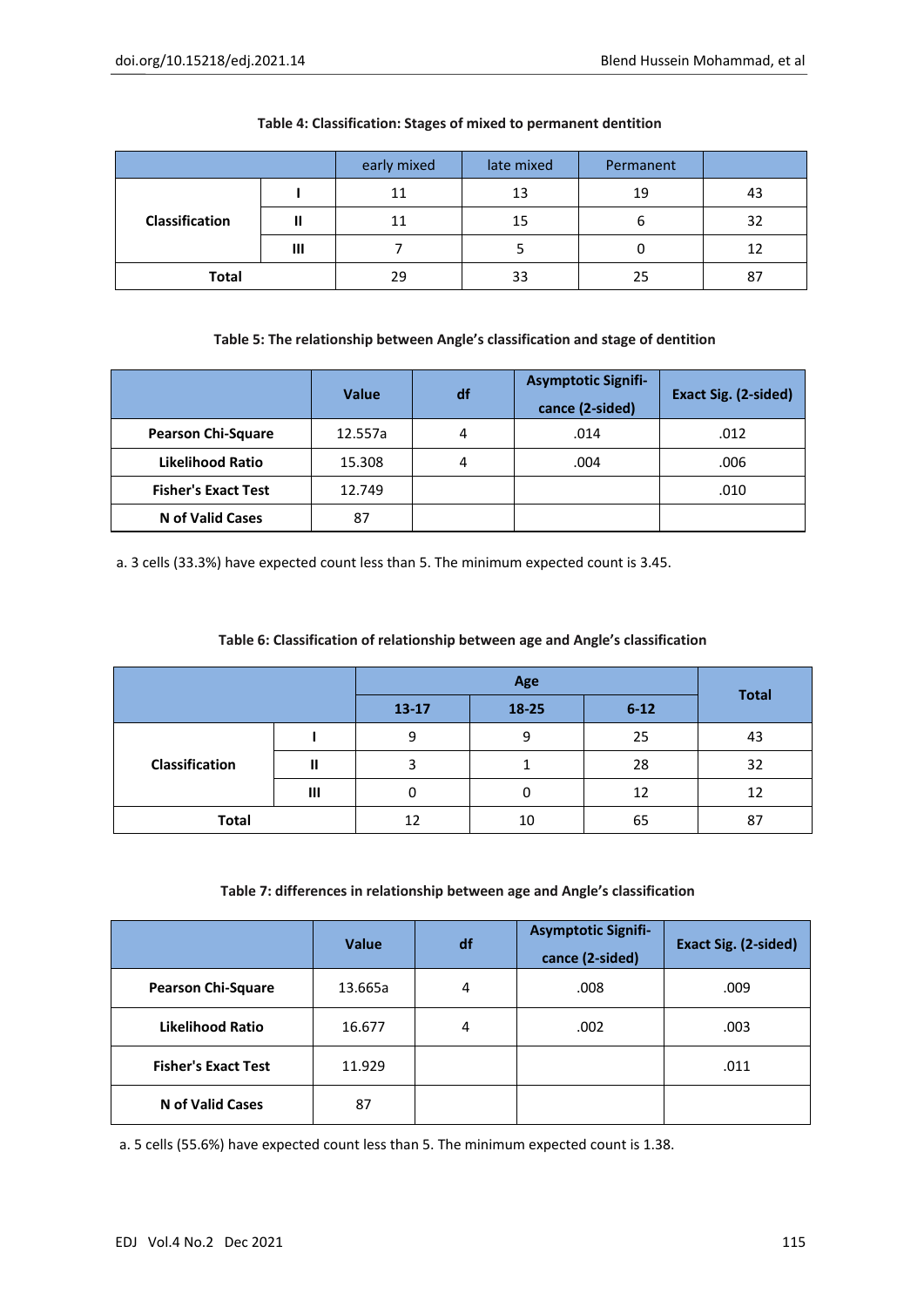|                |   | early mixed | late mixed | Permanent |    |
|----------------|---|-------------|------------|-----------|----|
|                |   | 11          | 13         | 19        | 43 |
| Classification | ш | 11          | 15         | b         | 32 |
|                | Ш |             |            |           |    |
| <b>Total</b>   |   | 29          | 33         | 25        | 87 |

#### **Table 4: Classification: Stages of mixed to permanent dentition**

#### **Table 5: The relationship between Angle's classification and stage of dentition**

|                            | <b>Value</b> | df | <b>Asymptotic Signifi-</b><br>cance (2-sided) | Exact Sig. (2-sided) |
|----------------------------|--------------|----|-----------------------------------------------|----------------------|
| <b>Pearson Chi-Square</b>  | 12.557a      | 4  | .014                                          | .012                 |
| <b>Likelihood Ratio</b>    | 15.308       | 4  | .004                                          | .006                 |
| <b>Fisher's Exact Test</b> | 12.749       |    |                                               | .010                 |
| <b>N</b> of Valid Cases    | 87           |    |                                               |                      |

a. 3 cells (33.3%) have expected count less than 5. The minimum expected count is 3.45.

#### **Table 6: Classification of relationship between age and Angle's classification**

|                |   | $13 - 17$ | 18-25 | $6 - 12$ | <b>Total</b> |  |
|----------------|---|-----------|-------|----------|--------------|--|
|                |   | 9         | 9     | 25       | 43           |  |
| Classification |   |           |       | 28       | 32           |  |
|                | Ш | U         |       | 12       | 12           |  |
| <b>Total</b>   |   | 12        | 10    | 65       | 87           |  |

#### **Table 7: differences in relationship between age and Angle's classification**

|                            | <b>Value</b> | df | <b>Asymptotic Signifi-</b><br>cance (2-sided) | Exact Sig. (2-sided) |
|----------------------------|--------------|----|-----------------------------------------------|----------------------|
| <b>Pearson Chi-Square</b>  | 13.665a      | 4  | .008                                          | .009                 |
| Likelihood Ratio           | 16.677       | 4  | .002                                          | .003                 |
| <b>Fisher's Exact Test</b> | 11.929       |    |                                               | .011                 |
| N of Valid Cases           | 87           |    |                                               |                      |

a. 5 cells (55.6%) have expected count less than 5. The minimum expected count is 1.38.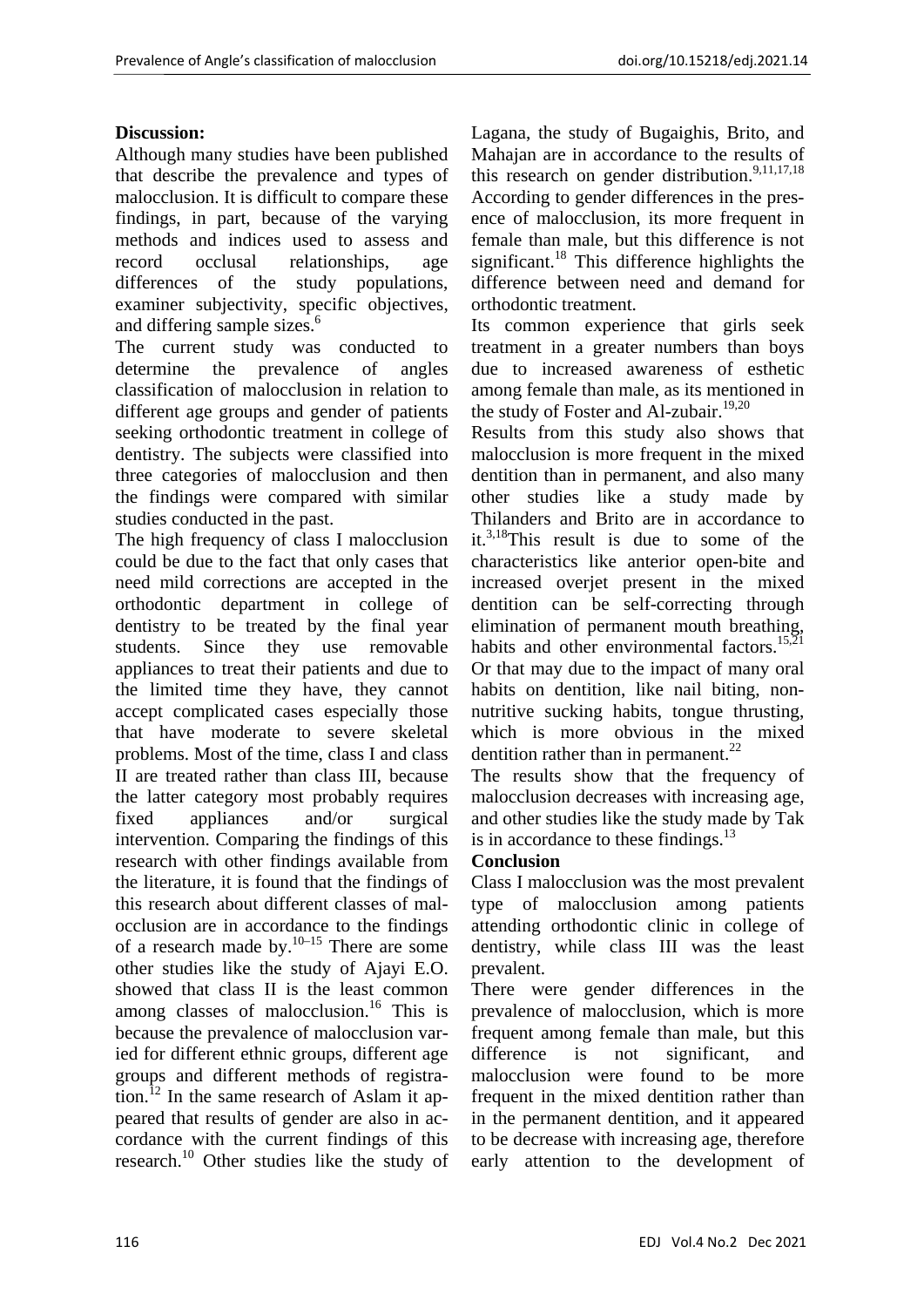## **Discussion:**

Although many studies have been published that describe the prevalence and types of malocclusion. It is difficult to compare these findings, in part, because of the varying methods and indices used to assess and record occlusal relationships, age differences of the study populations, examiner subjectivity, specific objectives, and differing sample sizes.<sup>6</sup>

The current study was conducted to determine the prevalence of angles classification of malocclusion in relation to different age groups and gender of patients seeking orthodontic treatment in college of dentistry. The subjects were classified into three categories of malocclusion and then the findings were compared with similar studies conducted in the past.

The high frequency of class I malocclusion could be due to the fact that only cases that need mild corrections are accepted in the orthodontic department in college of dentistry to be treated by the final year students. Since they use removable appliances to treat their patients and due to the limited time they have, they cannot accept complicated cases especially those that have moderate to severe skeletal problems. Most of the time, class I and class II are treated rather than class III, because the latter category most probably requires fixed appliances and/or surgical intervention. Comparing the findings of this research with other findings available from the literature, it is found that the findings of this research about different classes of malocclusion are in accordance to the findings of a research made by.<sup>10–15</sup> There are some other studies like the study of Ajayi E.O. showed that class II is the least common among classes of malocclusion.<sup>16</sup> This is because the prevalence of malocclusion varied for different ethnic groups, different age groups and different methods of registration.<sup>12</sup> In the same research of Aslam it appeared that results of gender are also in accordance with the current findings of this research.10 Other studies like the study of

Lagana, the study of Bugaighis, Brito, and Mahajan are in accordance to the results of this research on gender distribution.<sup>9,11,17,18</sup> According to gender differences in the presence of malocclusion, its more frequent in female than male, but this difference is not significant.<sup>18</sup> This difference highlights the difference between need and demand for orthodontic treatment.

Its common experience that girls seek treatment in a greater numbers than boys due to increased awareness of esthetic among female than male, as its mentioned in the study of Foster and Al-zubair.<sup>19,20</sup>

Results from this study also shows that malocclusion is more frequent in the mixed dentition than in permanent, and also many other studies like a study made by Thilanders and Brito are in accordance to it.<sup>3,18</sup>This result is due to some of the characteristics like anterior open-bite and increased overjet present in the mixed dentition can be self-correcting through elimination of permanent mouth breathing, habits and other environmental factors.<sup>15,21</sup> Or that may due to the impact of many oral habits on dentition, like nail biting, nonnutritive sucking habits, tongue thrusting, which is more obvious in the mixed dentition rather than in permanent. $^{22}$ 

The results show that the frequency of malocclusion decreases with increasing age, and other studies like the study made by Tak is in accordance to these findings. $13$ 

# **Conclusion**

Class I malocclusion was the most prevalent type of malocclusion among patients attending orthodontic clinic in college of dentistry, while class III was the least prevalent.

There were gender differences in the prevalence of malocclusion, which is more frequent among female than male, but this difference is not significant, and malocclusion were found to be more frequent in the mixed dentition rather than in the permanent dentition, and it appeared to be decrease with increasing age, therefore early attention to the development of